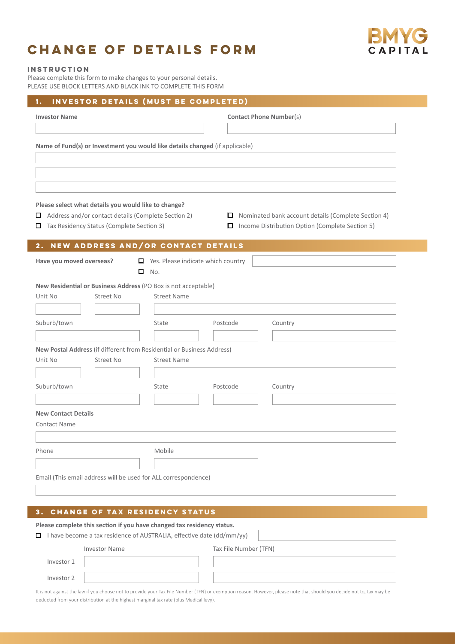## **Change of details form**



## **Instruction**

Please complete this form to make changes to your personal details. PLEASE USE BLOCK LETTERS AND BLACK INK TO COMPLETE THIS FORM

| 1.                                                                                                                     | INVESTOR DETAILS (MUST BE COMPLETED)              |                                                   |  |  |  |  |
|------------------------------------------------------------------------------------------------------------------------|---------------------------------------------------|---------------------------------------------------|--|--|--|--|
| <b>Investor Name</b>                                                                                                   |                                                   | <b>Contact Phone Number(s)</b>                    |  |  |  |  |
|                                                                                                                        |                                                   |                                                   |  |  |  |  |
| Name of Fund(s) or Investment you would like details changed (if applicable)                                           |                                                   |                                                   |  |  |  |  |
|                                                                                                                        |                                                   |                                                   |  |  |  |  |
|                                                                                                                        |                                                   |                                                   |  |  |  |  |
|                                                                                                                        |                                                   |                                                   |  |  |  |  |
| Please select what details you would like to change?                                                                   |                                                   |                                                   |  |  |  |  |
| Address and/or contact details (Complete Section 2)<br>$\Box$ Nominated bank account details (Complete Section 4)<br>0 |                                                   |                                                   |  |  |  |  |
| Tax Residency Status (Complete Section 3)                                                                              |                                                   | □ Income Distribution Option (Complete Section 5) |  |  |  |  |
| 2. NEW ADDRESS AND/OR CONTACT DETAILS                                                                                  |                                                   |                                                   |  |  |  |  |
| Have you moved overseas?                                                                                               | $\blacksquare$ Yes. Please indicate which country |                                                   |  |  |  |  |
|                                                                                                                        | $\Box$ No.                                        |                                                   |  |  |  |  |
| New Residential or Business Address (PO Box is not acceptable)                                                         |                                                   |                                                   |  |  |  |  |
| Unit No<br>Street No                                                                                                   | <b>Street Name</b>                                |                                                   |  |  |  |  |
|                                                                                                                        |                                                   | Postcode                                          |  |  |  |  |
| Suburb/town                                                                                                            | State                                             | Country                                           |  |  |  |  |
| New Postal Address (if different from Residential or Business Address)                                                 |                                                   |                                                   |  |  |  |  |
| Unit No<br>Street No                                                                                                   | <b>Street Name</b>                                |                                                   |  |  |  |  |
|                                                                                                                        |                                                   |                                                   |  |  |  |  |
| Suburb/town                                                                                                            | State                                             | Country<br>Postcode                               |  |  |  |  |
|                                                                                                                        |                                                   |                                                   |  |  |  |  |
| <b>New Contact Details</b>                                                                                             |                                                   |                                                   |  |  |  |  |
| <b>Contact Name</b>                                                                                                    |                                                   |                                                   |  |  |  |  |
| Phone                                                                                                                  | Mobile                                            |                                                   |  |  |  |  |
|                                                                                                                        |                                                   |                                                   |  |  |  |  |
| Email (This email address will be used for ALL correspondence)                                                         |                                                   |                                                   |  |  |  |  |
|                                                                                                                        |                                                   |                                                   |  |  |  |  |
|                                                                                                                        |                                                   |                                                   |  |  |  |  |
| CHANGE OF TAX RESIDENCY STATUS<br>З.                                                                                   |                                                   |                                                   |  |  |  |  |

## **Please complete this section if you have changed tax residency status.**

 $\Box$  I have become a tax residence of AUSTRALIA, effective date (dd/mm/yy)

| <b>Investor Name</b> |  | Tax File Number (TFN) |  |
|----------------------|--|-----------------------|--|
| Investor 1           |  |                       |  |
| Investor 2           |  |                       |  |

It is not against the law if you choose not to provide your Tax File Number (TFN) or exemption reason. However, please note that should you decide not to, tax may be deducted from your distribution at the highest marginal tax rate (plus Medical levy).